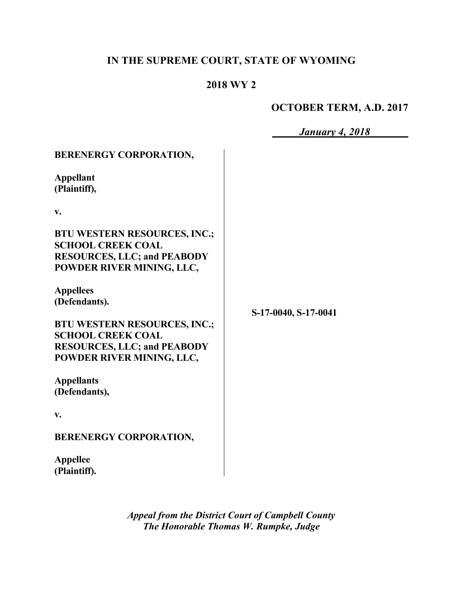# **IN THE SUPREME COURT, STATE OF WYOMING**

## **2018 WY 2**

## **OCTOBER TERM, A.D. 2017**

|                                                                                                                                                                                                                                                                                                                                                                                                                                                                                          | <b>January 4, 2018</b> |
|------------------------------------------------------------------------------------------------------------------------------------------------------------------------------------------------------------------------------------------------------------------------------------------------------------------------------------------------------------------------------------------------------------------------------------------------------------------------------------------|------------------------|
| <b>BERENERGY CORPORATION,</b><br><b>Appellant</b><br>(Plaintiff),<br>V.<br><b>BTU WESTERN RESOURCES, INC.;</b><br><b>SCHOOL CREEK COAL</b><br><b>RESOURCES, LLC; and PEABODY</b><br>POWDER RIVER MINING, LLC,<br><b>Appellees</b><br>(Defendants).<br><b>BTU WESTERN RESOURCES, INC.;</b><br><b>SCHOOL CREEK COAL</b><br><b>RESOURCES, LLC; and PEABODY</b><br>POWDER RIVER MINING, LLC,<br><b>Appellants</b><br>(Defendants),<br>V.<br><b>BERENERGY CORPORATION,</b><br><b>Appellee</b> | S-17-0040, S-17-0041   |
| (Plaintiff).                                                                                                                                                                                                                                                                                                                                                                                                                                                                             |                        |

*Appeal from the District Court of Campbell County The Honorable Thomas W. Rumpke, Judge*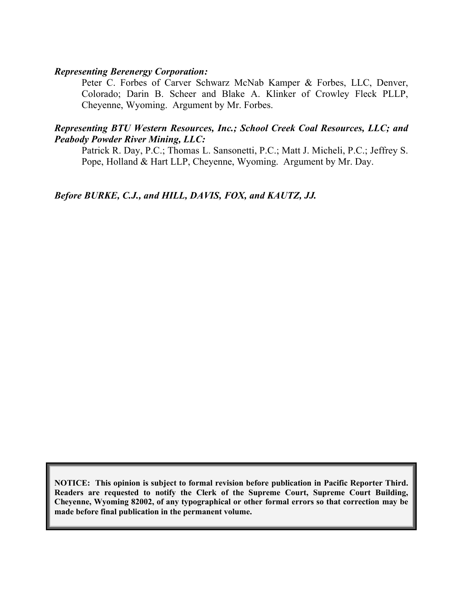#### *Representing Berenergy Corporation:*

Peter C. Forbes of Carver Schwarz McNab Kamper & Forbes, LLC, Denver, Colorado; Darin B. Scheer and Blake A. Klinker of Crowley Fleck PLLP, Cheyenne, Wyoming. Argument by Mr. Forbes.

#### *Representing BTU Western Resources, Inc.; School Creek Coal Resources, LLC; and Peabody Powder River Mining, LLC:*

Patrick R. Day, P.C.; Thomas L. Sansonetti, P.C.; Matt J. Micheli, P.C.; Jeffrey S. Pope, Holland & Hart LLP, Cheyenne, Wyoming. Argument by Mr. Day.

*Before BURKE, C.J., and HILL, DAVIS, FOX, and KAUTZ, JJ.*

**NOTICE: This opinion is subject to formal revision before publication in Pacific Reporter Third. Readers are requested to notify the Clerk of the Supreme Court, Supreme Court Building, Cheyenne, Wyoming 82002, of any typographical or other formal errors so that correction may be made before final publication in the permanent volume.**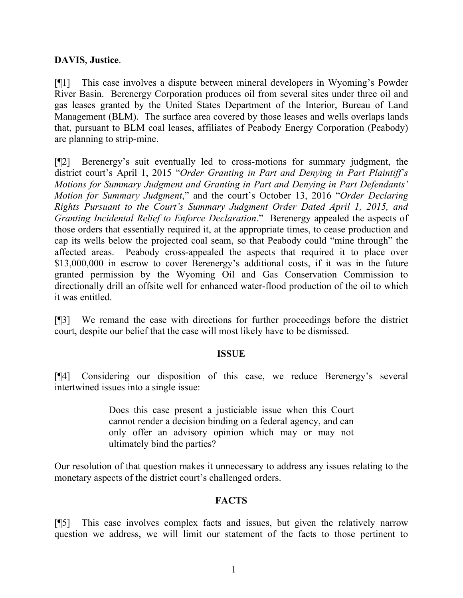### **DAVIS**, **Justice**.

[¶1] This case involves a dispute between mineral developers in Wyoming's Powder River Basin. Berenergy Corporation produces oil from several sites under three oil and gas leases granted by the United States Department of the Interior, Bureau of Land Management (BLM). The surface area covered by those leases and wells overlaps lands that, pursuant to BLM coal leases, affiliates of Peabody Energy Corporation (Peabody) are planning to strip-mine.

[¶2] Berenergy's suit eventually led to cross-motions for summary judgment, the district court's April 1, 2015 "*Order Granting in Part and Denying in Part Plaintiff's Motions for Summary Judgment and Granting in Part and Denying in Part Defendants' Motion for Summary Judgment*," and the court's October 13, 2016 "*Order Declaring Rights Pursuant to the Court's Summary Judgment Order Dated April 1, 2015, and Granting Incidental Relief to Enforce Declaration*." Berenergy appealed the aspects of those orders that essentially required it, at the appropriate times, to cease production and cap its wells below the projected coal seam, so that Peabody could "mine through" the affected areas. Peabody cross-appealed the aspects that required it to place over \$13,000,000 in escrow to cover Berenergy's additional costs, if it was in the future granted permission by the Wyoming Oil and Gas Conservation Commission to directionally drill an offsite well for enhanced water-flood production of the oil to which it was entitled.

[¶3] We remand the case with directions for further proceedings before the district court, despite our belief that the case will most likely have to be dismissed.

#### **ISSUE**

[¶4] Considering our disposition of this case, we reduce Berenergy's several intertwined issues into a single issue:

> Does this case present a justiciable issue when this Court cannot render a decision binding on a federal agency, and can only offer an advisory opinion which may or may not ultimately bind the parties?

Our resolution of that question makes it unnecessary to address any issues relating to the monetary aspects of the district court's challenged orders.

### **FACTS**

[¶5] This case involves complex facts and issues, but given the relatively narrow question we address, we will limit our statement of the facts to those pertinent to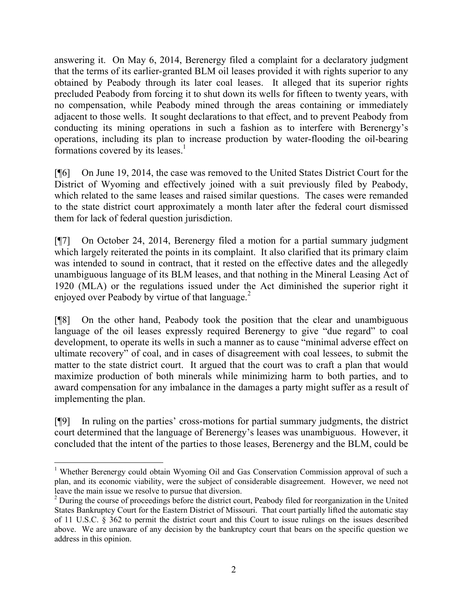answering it. On May 6, 2014, Berenergy filed a complaint for a declaratory judgment that the terms of its earlier-granted BLM oil leases provided it with rights superior to any obtained by Peabody through its later coal leases. It alleged that its superior rights precluded Peabody from forcing it to shut down its wells for fifteen to twenty years, with no compensation, while Peabody mined through the areas containing or immediately adjacent to those wells. It sought declarations to that effect, and to prevent Peabody from conducting its mining operations in such a fashion as to interfere with Berenergy's operations, including its plan to increase production by water-flooding the oil-bearing formations covered by its leases.<sup>1</sup>

[¶6] On June 19, 2014, the case was removed to the United States District Court for the District of Wyoming and effectively joined with a suit previously filed by Peabody, which related to the same leases and raised similar questions. The cases were remanded to the state district court approximately a month later after the federal court dismissed them for lack of federal question jurisdiction.

[¶7] On October 24, 2014, Berenergy filed a motion for a partial summary judgment which largely reiterated the points in its complaint. It also clarified that its primary claim was intended to sound in contract, that it rested on the effective dates and the allegedly unambiguous language of its BLM leases, and that nothing in the Mineral Leasing Act of 1920 (MLA) or the regulations issued under the Act diminished the superior right it enjoyed over Peabody by virtue of that language.<sup>2</sup>

[¶8] On the other hand, Peabody took the position that the clear and unambiguous language of the oil leases expressly required Berenergy to give "due regard" to coal development, to operate its wells in such a manner as to cause "minimal adverse effect on ultimate recovery" of coal, and in cases of disagreement with coal lessees, to submit the matter to the state district court. It argued that the court was to craft a plan that would maximize production of both minerals while minimizing harm to both parties, and to award compensation for any imbalance in the damages a party might suffer as a result of implementing the plan.

[¶9] In ruling on the parties' cross-motions for partial summary judgments, the district court determined that the language of Berenergy's leases was unambiguous. However, it concluded that the intent of the parties to those leases, Berenergy and the BLM, could be

l

<sup>&</sup>lt;sup>1</sup> Whether Berenergy could obtain Wyoming Oil and Gas Conservation Commission approval of such a plan, and its economic viability, were the subject of considerable disagreement. However, we need not leave the main issue we resolve to pursue that diversion.

<sup>&</sup>lt;sup>2</sup> During the course of proceedings before the district court, Peabody filed for reorganization in the United States Bankruptcy Court for the Eastern District of Missouri. That court partially lifted the automatic stay of 11 U.S.C. § 362 to permit the district court and this Court to issue rulings on the issues described above. We are unaware of any decision by the bankruptcy court that bears on the specific question we address in this opinion.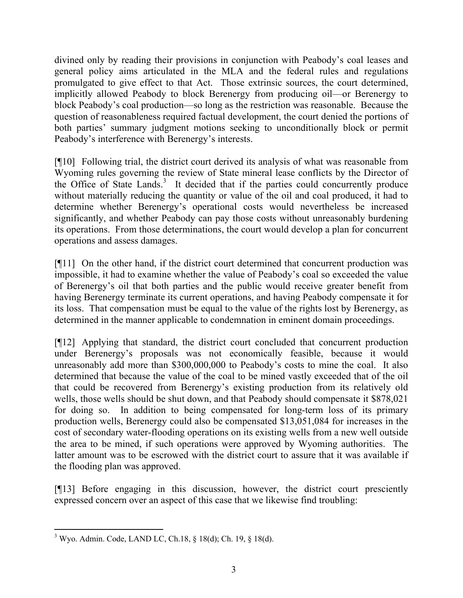divined only by reading their provisions in conjunction with Peabody's coal leases and general policy aims articulated in the MLA and the federal rules and regulations promulgated to give effect to that Act. Those extrinsic sources, the court determined, implicitly allowed Peabody to block Berenergy from producing oil—or Berenergy to block Peabody's coal production—so long as the restriction was reasonable. Because the question of reasonableness required factual development, the court denied the portions of both parties' summary judgment motions seeking to unconditionally block or permit Peabody's interference with Berenergy's interests.

[¶10] Following trial, the district court derived its analysis of what was reasonable from Wyoming rules governing the review of State mineral lease conflicts by the Director of the Office of State Lands.<sup>3</sup> It decided that if the parties could concurrently produce without materially reducing the quantity or value of the oil and coal produced, it had to determine whether Berenergy's operational costs would nevertheless be increased significantly, and whether Peabody can pay those costs without unreasonably burdening its operations. From those determinations, the court would develop a plan for concurrent operations and assess damages.

[¶11] On the other hand, if the district court determined that concurrent production was impossible, it had to examine whether the value of Peabody's coal so exceeded the value of Berenergy's oil that both parties and the public would receive greater benefit from having Berenergy terminate its current operations, and having Peabody compensate it for its loss. That compensation must be equal to the value of the rights lost by Berenergy, as determined in the manner applicable to condemnation in eminent domain proceedings.

[¶12] Applying that standard, the district court concluded that concurrent production under Berenergy's proposals was not economically feasible, because it would unreasonably add more than \$300,000,000 to Peabody's costs to mine the coal. It also determined that because the value of the coal to be mined vastly exceeded that of the oil that could be recovered from Berenergy's existing production from its relatively old wells, those wells should be shut down, and that Peabody should compensate it \$878,021 for doing so. In addition to being compensated for long-term loss of its primary production wells, Berenergy could also be compensated \$13,051,084 for increases in the cost of secondary water-flooding operations on its existing wells from a new well outside the area to be mined, if such operations were approved by Wyoming authorities. The latter amount was to be escrowed with the district court to assure that it was available if the flooding plan was approved.

[¶13] Before engaging in this discussion, however, the district court presciently expressed concern over an aspect of this case that we likewise find troubling:

l

<sup>3</sup> Wyo. Admin. Code, LAND LC, Ch.18, § 18(d); Ch. 19, § 18(d).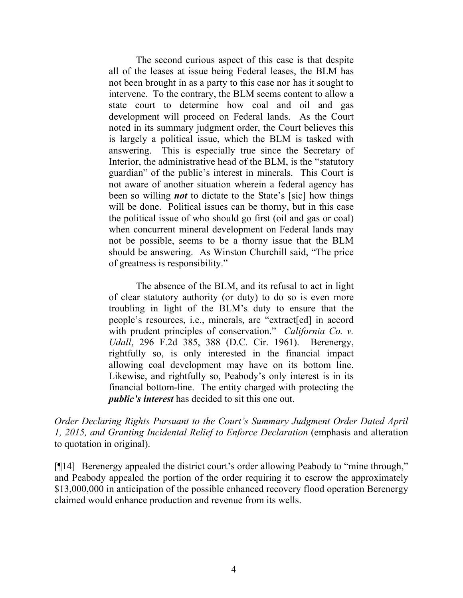The second curious aspect of this case is that despite all of the leases at issue being Federal leases, the BLM has not been brought in as a party to this case nor has it sought to intervene. To the contrary, the BLM seems content to allow a state court to determine how coal and oil and gas development will proceed on Federal lands. As the Court noted in its summary judgment order, the Court believes this is largely a political issue, which the BLM is tasked with answering. This is especially true since the Secretary of Interior, the administrative head of the BLM, is the "statutory guardian" of the public's interest in minerals. This Court is not aware of another situation wherein a federal agency has been so willing *not* to dictate to the State's [sic] how things will be done. Political issues can be thorny, but in this case the political issue of who should go first (oil and gas or coal) when concurrent mineral development on Federal lands may not be possible, seems to be a thorny issue that the BLM should be answering. As Winston Churchill said, "The price of greatness is responsibility."

The absence of the BLM, and its refusal to act in light of clear statutory authority (or duty) to do so is even more troubling in light of the BLM's duty to ensure that the people's resources, i.e., minerals, are "extract[ed] in accord with prudent principles of conservation." *California Co. v. Udall*, 296 F.2d 385, 388 (D.C. Cir. 1961). Berenergy, rightfully so, is only interested in the financial impact allowing coal development may have on its bottom line. Likewise, and rightfully so, Peabody's only interest is in its financial bottom-line. The entity charged with protecting the *public's interest* has decided to sit this one out.

*Order Declaring Rights Pursuant to the Court's Summary Judgment Order Dated April 1, 2015, and Granting Incidental Relief to Enforce Declaration* (emphasis and alteration to quotation in original).

[¶14] Berenergy appealed the district court's order allowing Peabody to "mine through," and Peabody appealed the portion of the order requiring it to escrow the approximately \$13,000,000 in anticipation of the possible enhanced recovery flood operation Berenergy claimed would enhance production and revenue from its wells.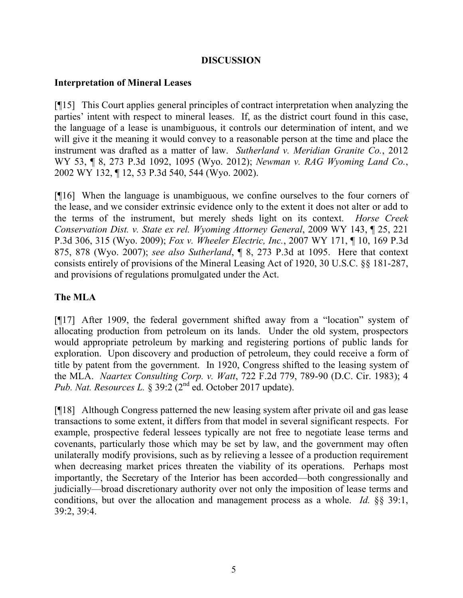### **DISCUSSION**

### **Interpretation of Mineral Leases**

[¶15] This Court applies general principles of contract interpretation when analyzing the parties' intent with respect to mineral leases. If, as the district court found in this case, the language of a lease is unambiguous, it controls our determination of intent, and we will give it the meaning it would convey to a reasonable person at the time and place the instrument was drafted as a matter of law. *Sutherland v. Meridian Granite Co.*, 2012 WY 53, ¶ 8, 273 P.3d 1092, 1095 (Wyo. 2012); *Newman v. RAG Wyoming Land Co.*, 2002 WY 132, ¶ 12, 53 P.3d 540, 544 (Wyo. 2002).

[¶16] When the language is unambiguous, we confine ourselves to the four corners of the lease, and we consider extrinsic evidence only to the extent it does not alter or add to the terms of the instrument, but merely sheds light on its context. *Horse Creek Conservation Dist. v. State ex rel. Wyoming Attorney General*, 2009 WY 143, ¶ 25, 221 P.3d 306, 315 (Wyo. 2009); *Fox v. Wheeler Electric, Inc.*, 2007 WY 171, ¶ 10, 169 P.3d 875, 878 (Wyo. 2007); *see also Sutherland*, ¶ 8, 273 P.3d at 1095. Here that context consists entirely of provisions of the Mineral Leasing Act of 1920, 30 U.S.C. §§ 181-287, and provisions of regulations promulgated under the Act.

## **The MLA**

[¶17] After 1909, the federal government shifted away from a "location" system of allocating production from petroleum on its lands. Under the old system, prospectors would appropriate petroleum by marking and registering portions of public lands for exploration. Upon discovery and production of petroleum, they could receive a form of title by patent from the government. In 1920, Congress shifted to the leasing system of the MLA. *Naartex Consulting Corp. v. Watt*, 722 F.2d 779, 789-90 (D.C. Cir. 1983); 4 *Pub. Nat. Resources L.* § 39:2 (2<sup>nd</sup> ed. October 2017 update).

[¶18] Although Congress patterned the new leasing system after private oil and gas lease transactions to some extent, it differs from that model in several significant respects. For example, prospective federal lessees typically are not free to negotiate lease terms and covenants, particularly those which may be set by law, and the government may often unilaterally modify provisions, such as by relieving a lessee of a production requirement when decreasing market prices threaten the viability of its operations. Perhaps most importantly, the Secretary of the Interior has been accorded—both congressionally and judicially—broad discretionary authority over not only the imposition of lease terms and conditions, but over the allocation and management process as a whole. *Id.* §§ 39:1, 39:2, 39:4.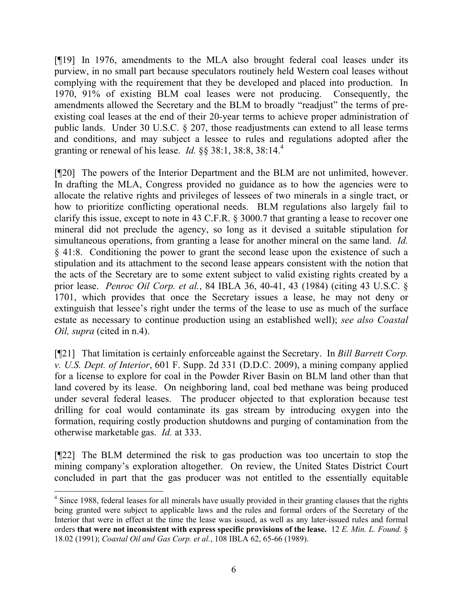[¶19] In 1976, amendments to the MLA also brought federal coal leases under its purview, in no small part because speculators routinely held Western coal leases without complying with the requirement that they be developed and placed into production. In 1970, 91% of existing BLM coal leases were not producing. Consequently, the amendments allowed the Secretary and the BLM to broadly "readjust" the terms of preexisting coal leases at the end of their 20-year terms to achieve proper administration of public lands. Under 30 U.S.C. § 207, those readjustments can extend to all lease terms and conditions, and may subject a lessee to rules and regulations adopted after the granting or renewal of his lease. *Id.* §§ 38:1, 38:8, 38:14.<sup>4</sup>

[¶20] The powers of the Interior Department and the BLM are not unlimited, however. In drafting the MLA, Congress provided no guidance as to how the agencies were to allocate the relative rights and privileges of lessees of two minerals in a single tract, or how to prioritize conflicting operational needs. BLM regulations also largely fail to clarify this issue, except to note in 43 C.F.R. § 3000.7 that granting a lease to recover one mineral did not preclude the agency, so long as it devised a suitable stipulation for simultaneous operations, from granting a lease for another mineral on the same land. *Id.* § 41:8. Conditioning the power to grant the second lease upon the existence of such a stipulation and its attachment to the second lease appears consistent with the notion that the acts of the Secretary are to some extent subject to valid existing rights created by a prior lease. *Penroc Oil Corp. et al.*, 84 IBLA 36, 40-41, 43 (1984) (citing 43 U.S.C. § 1701, which provides that once the Secretary issues a lease, he may not deny or extinguish that lessee's right under the terms of the lease to use as much of the surface estate as necessary to continue production using an established well); *see also Coastal Oil, supra* (cited in n.4).

[¶21] That limitation is certainly enforceable against the Secretary. In *Bill Barrett Corp. v. U.S. Dept. of Interior*, 601 F. Supp. 2d 331 (D.D.C. 2009), a mining company applied for a license to explore for coal in the Powder River Basin on BLM land other than that land covered by its lease. On neighboring land, coal bed methane was being produced under several federal leases. The producer objected to that exploration because test drilling for coal would contaminate its gas stream by introducing oxygen into the formation, requiring costly production shutdowns and purging of contamination from the otherwise marketable gas. *Id.* at 333.

[¶22] The BLM determined the risk to gas production was too uncertain to stop the mining company's exploration altogether. On review, the United States District Court concluded in part that the gas producer was not entitled to the essentially equitable

 $\overline{a}$ 

<sup>&</sup>lt;sup>4</sup> Since 1988, federal leases for all minerals have usually provided in their granting clauses that the rights being granted were subject to applicable laws and the rules and formal orders of the Secretary of the Interior that were in effect at the time the lease was issued, as well as any later-issued rules and formal orders **that were not inconsistent with express specific provisions of the lease.** 12 *E. Min. L. Found.* § 18.02 (1991); *Coastal Oil and Gas Corp. et al.*, 108 IBLA 62, 65-66 (1989).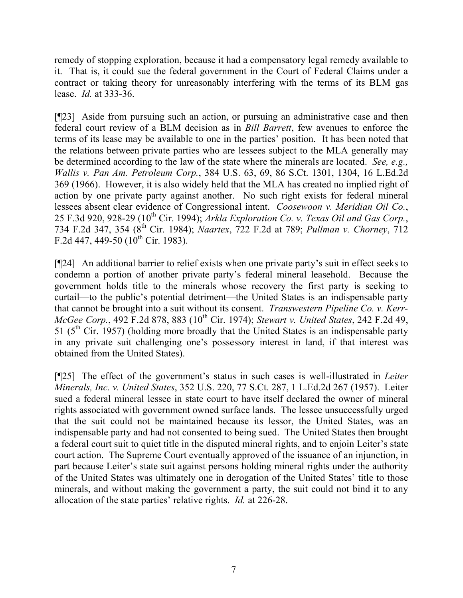remedy of stopping exploration, because it had a compensatory legal remedy available to it. That is, it could sue the federal government in the Court of Federal Claims under a contract or taking theory for unreasonably interfering with the terms of its BLM gas lease. *Id.* at 333-36.

[¶23] Aside from pursuing such an action, or pursuing an administrative case and then federal court review of a BLM decision as in *Bill Barrett*, few avenues to enforce the terms of its lease may be available to one in the parties' position. It has been noted that the relations between private parties who are lessees subject to the MLA generally may be determined according to the law of the state where the minerals are located. *See, e.g., Wallis v. Pan Am. Petroleum Corp.*, 384 U.S. 63, 69, 86 S.Ct. 1301, 1304, 16 L.Ed.2d 369 (1966). However, it is also widely held that the MLA has created no implied right of action by one private party against another. No such right exists for federal mineral lessees absent clear evidence of Congressional intent. *Coosewoon v. Meridian Oil Co.*, 25 F.3d 920, 928-29 (10<sup>th</sup> Cir. 1994); *Arkla Exploration Co. v. Texas Oil and Gas Corp.*, 734 F.2d 347, 354 (8th Cir. 1984); *Naartex*, 722 F.2d at 789; *Pullman v. Chorney*, 712 F.2d 447, 449-50 ( $10^{th}$  Cir. 1983).

[¶24] An additional barrier to relief exists when one private party's suit in effect seeks to condemn a portion of another private party's federal mineral leasehold. Because the government holds title to the minerals whose recovery the first party is seeking to curtail—to the public's potential detriment—the United States is an indispensable party that cannot be brought into a suit without its consent. *Transwestern Pipeline Co. v. Kerr-McGee Corp.*, 492 F.2d 878, 883 (10<sup>th</sup> Cir. 1974); *Stewart v. United States*, 242 F.2d 49, 51 ( $5<sup>th</sup>$  Cir. 1957) (holding more broadly that the United States is an indispensable party in any private suit challenging one's possessory interest in land, if that interest was obtained from the United States).

[¶25] The effect of the government's status in such cases is well-illustrated in *Leiter Minerals, Inc. v. United States*, 352 U.S. 220, 77 S.Ct. 287, 1 L.Ed.2d 267 (1957). Leiter sued a federal mineral lessee in state court to have itself declared the owner of mineral rights associated with government owned surface lands. The lessee unsuccessfully urged that the suit could not be maintained because its lessor, the United States, was an indispensable party and had not consented to being sued. The United States then brought a federal court suit to quiet title in the disputed mineral rights, and to enjoin Leiter's state court action. The Supreme Court eventually approved of the issuance of an injunction, in part because Leiter's state suit against persons holding mineral rights under the authority of the United States was ultimately one in derogation of the United States' title to those minerals, and without making the government a party, the suit could not bind it to any allocation of the state parties' relative rights. *Id.* at 226-28.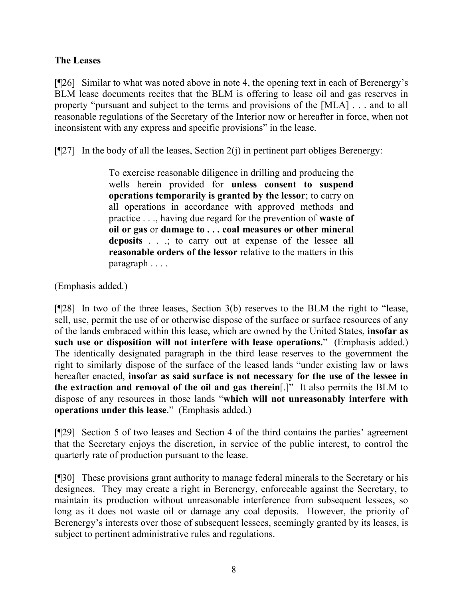#### **The Leases**

[¶26] Similar to what was noted above in note 4, the opening text in each of Berenergy's BLM lease documents recites that the BLM is offering to lease oil and gas reserves in property "pursuant and subject to the terms and provisions of the [MLA] . . . and to all reasonable regulations of the Secretary of the Interior now or hereafter in force, when not inconsistent with any express and specific provisions" in the lease.

 $[$ [[27] In the body of all the leases, Section 2(j) in pertinent part obliges Berenergy:

To exercise reasonable diligence in drilling and producing the wells herein provided for **unless consent to suspend operations temporarily is granted by the lessor**; to carry on all operations in accordance with approved methods and practice . . ., having due regard for the prevention of **waste of oil or gas** or **damage to . . . coal measures or other mineral deposits** . . .; to carry out at expense of the lessee **all reasonable orders of the lessor** relative to the matters in this paragraph . . . .

(Emphasis added.)

[¶28] In two of the three leases, Section 3(b) reserves to the BLM the right to "lease, sell, use, permit the use of or otherwise dispose of the surface or surface resources of any of the lands embraced within this lease, which are owned by the United States, **insofar as such use or disposition will not interfere with lease operations.**" (Emphasis added.) The identically designated paragraph in the third lease reserves to the government the right to similarly dispose of the surface of the leased lands "under existing law or laws hereafter enacted, **insofar as said surface is not necessary for the use of the lessee in the extraction and removal of the oil and gas therein**[.]" It also permits the BLM to dispose of any resources in those lands "**which will not unreasonably interfere with operations under this lease**." (Emphasis added.)

[¶29] Section 5 of two leases and Section 4 of the third contains the parties' agreement that the Secretary enjoys the discretion, in service of the public interest, to control the quarterly rate of production pursuant to the lease.

[¶30] These provisions grant authority to manage federal minerals to the Secretary or his designees. They may create a right in Berenergy, enforceable against the Secretary, to maintain its production without unreasonable interference from subsequent lessees, so long as it does not waste oil or damage any coal deposits. However, the priority of Berenergy's interests over those of subsequent lessees, seemingly granted by its leases, is subject to pertinent administrative rules and regulations.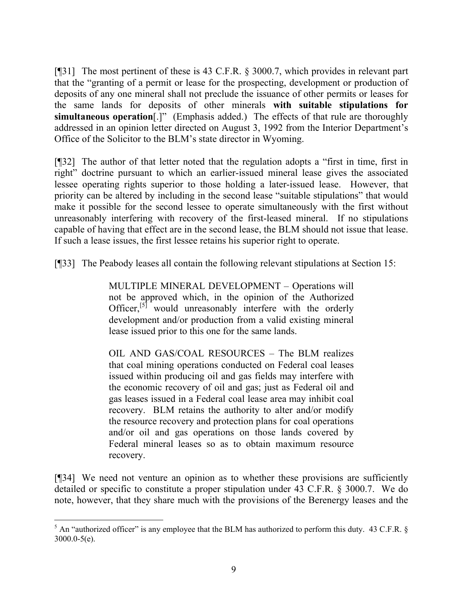[¶31] The most pertinent of these is 43 C.F.R. § 3000.7, which provides in relevant part that the "granting of a permit or lease for the prospecting, development or production of deposits of any one mineral shall not preclude the issuance of other permits or leases for the same lands for deposits of other minerals **with suitable stipulations for simultaneous operation**[.]" (Emphasis added.) The effects of that rule are thoroughly addressed in an opinion letter directed on August 3, 1992 from the Interior Department's Office of the Solicitor to the BLM's state director in Wyoming.

[¶32] The author of that letter noted that the regulation adopts a "first in time, first in right" doctrine pursuant to which an earlier-issued mineral lease gives the associated lessee operating rights superior to those holding a later-issued lease. However, that priority can be altered by including in the second lease "suitable stipulations" that would make it possible for the second lessee to operate simultaneously with the first without unreasonably interfering with recovery of the first-leased mineral. If no stipulations capable of having that effect are in the second lease, the BLM should not issue that lease. If such a lease issues, the first lessee retains his superior right to operate.

[¶33] The Peabody leases all contain the following relevant stipulations at Section 15:

MULTIPLE MINERAL DEVELOPMENT – Operations will not be approved which, in the opinion of the Authorized Officer.<sup>[5]</sup> would unreasonably interfere with the orderly development and/or production from a valid existing mineral lease issued prior to this one for the same lands.

OIL AND GAS/COAL RESOURCES – The BLM realizes that coal mining operations conducted on Federal coal leases issued within producing oil and gas fields may interfere with the economic recovery of oil and gas; just as Federal oil and gas leases issued in a Federal coal lease area may inhibit coal recovery. BLM retains the authority to alter and/or modify the resource recovery and protection plans for coal operations and/or oil and gas operations on those lands covered by Federal mineral leases so as to obtain maximum resource recovery.

[¶34] We need not venture an opinion as to whether these provisions are sufficiently detailed or specific to constitute a proper stipulation under 43 C.F.R. § 3000.7. We do note, however, that they share much with the provisions of the Berenergy leases and the

 $5$  An "authorized officer" is any employee that the BLM has authorized to perform this duty. 43 C.F.R. § 3000.0-5(e).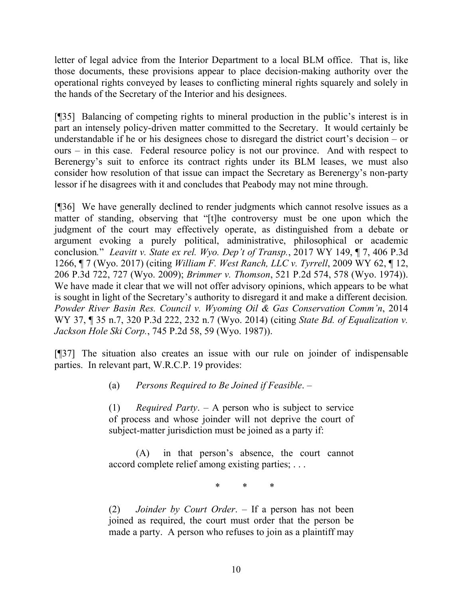letter of legal advice from the Interior Department to a local BLM office. That is, like those documents, these provisions appear to place decision-making authority over the operational rights conveyed by leases to conflicting mineral rights squarely and solely in the hands of the Secretary of the Interior and his designees.

[¶35] Balancing of competing rights to mineral production in the public's interest is in part an intensely policy-driven matter committed to the Secretary. It would certainly be understandable if he or his designees chose to disregard the district court's decision – or ours – in this case. Federal resource policy is not our province. And with respect to Berenergy's suit to enforce its contract rights under its BLM leases, we must also consider how resolution of that issue can impact the Secretary as Berenergy's non-party lessor if he disagrees with it and concludes that Peabody may not mine through.

[¶36] We have generally declined to render judgments which cannot resolve issues as a matter of standing, observing that "[t]he controversy must be one upon which the judgment of the court may effectively operate, as distinguished from a debate or argument evoking a purely political, administrative, philosophical or academic conclusion*.*" *Leavitt v. State ex rel. Wyo. Dep't of Transp.*, 2017 WY 149, ¶ 7, 406 P.3d 1266, ¶ 7 (Wyo. 2017) (citing *William F. West Ranch, LLC v. Tyrrell*, 2009 WY 62, ¶ 12, 206 P.3d 722, 727 (Wyo. 2009); *Brimmer v. Thomson*, 521 P.2d 574, 578 (Wyo. 1974)). We have made it clear that we will not offer advisory opinions, which appears to be what is sought in light of the Secretary's authority to disregard it and make a different decision*. Powder River Basin Res. Council v. Wyoming Oil & Gas Conservation Comm'n*, 2014 WY 37, ¶ 35 n.7, 320 P.3d 222, 232 n.7 (Wyo. 2014) (citing *State Bd. of Equalization v. Jackson Hole Ski Corp.*, 745 P.2d 58, 59 (Wyo. 1987)).

[¶37] The situation also creates an issue with our rule on joinder of indispensable parties. In relevant part, W.R.C.P. 19 provides:

(a) *Persons Required to Be Joined if Feasible*. –

(1) *Required Party*. – A person who is subject to service of process and whose joinder will not deprive the court of subject-matter jurisdiction must be joined as a party if:

(A) in that person's absence, the court cannot accord complete relief among existing parties; . . .

\* \* \*

(2) *Joinder by Court Order*. – If a person has not been joined as required, the court must order that the person be made a party. A person who refuses to join as a plaintiff may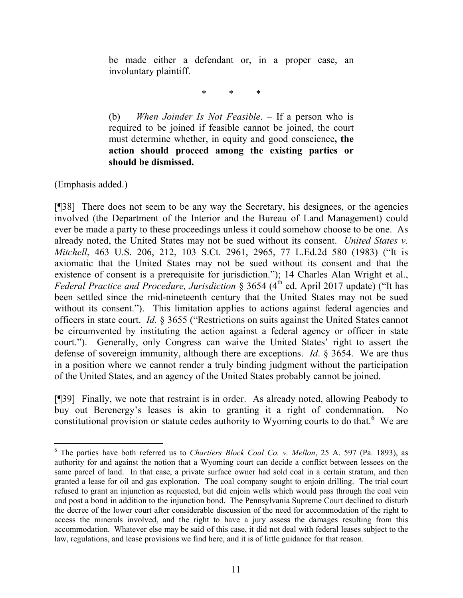be made either a defendant or, in a proper case, an involuntary plaintiff.

\* \* \*

(b) *When Joinder Is Not Feasible*. – If a person who is required to be joined if feasible cannot be joined, the court must determine whether, in equity and good conscience**, the action should proceed among the existing parties or should be dismissed.**

(Emphasis added.)

 $\overline{a}$ 

[¶38] There does not seem to be any way the Secretary, his designees, or the agencies involved (the Department of the Interior and the Bureau of Land Management) could ever be made a party to these proceedings unless it could somehow choose to be one. As already noted, the United States may not be sued without its consent. *United States v. Mitchell*, 463 U.S. 206, 212, 103 S.Ct. 2961, 2965, 77 L.Ed.2d 580 (1983) ("It is axiomatic that the United States may not be sued without its consent and that the existence of consent is a prerequisite for jurisdiction."); 14 Charles Alan Wright et al., *Federal Practice and Procedure, Jurisdiction* § 3654 (4<sup>th</sup> ed. April 2017 update) ("It has been settled since the mid-nineteenth century that the United States may not be sued without its consent."). This limitation applies to actions against federal agencies and officers in state court. *Id.* § 3655 ("Restrictions on suits against the United States cannot be circumvented by instituting the action against a federal agency or officer in state court."). Generally, only Congress can waive the United States' right to assert the defense of sovereign immunity, although there are exceptions. *Id*. § 3654. We are thus in a position where we cannot render a truly binding judgment without the participation of the United States, and an agency of the United States probably cannot be joined.

[¶39] Finally, we note that restraint is in order. As already noted, allowing Peabody to buy out Berenergy's leases is akin to granting it a right of condemnation. No constitutional provision or statute cedes authority to Wyoming courts to do that.<sup>6</sup> We are

<sup>6</sup> The parties have both referred us to *Chartiers Block Coal Co. v. Mellon*, 25 A. 597 (Pa. 1893), as authority for and against the notion that a Wyoming court can decide a conflict between lessees on the same parcel of land. In that case, a private surface owner had sold coal in a certain stratum, and then granted a lease for oil and gas exploration. The coal company sought to enjoin drilling. The trial court refused to grant an injunction as requested, but did enjoin wells which would pass through the coal vein and post a bond in addition to the injunction bond. The Pennsylvania Supreme Court declined to disturb the decree of the lower court after considerable discussion of the need for accommodation of the right to access the minerals involved, and the right to have a jury assess the damages resulting from this accommodation. Whatever else may be said of this case, it did not deal with federal leases subject to the law, regulations, and lease provisions we find here, and it is of little guidance for that reason.